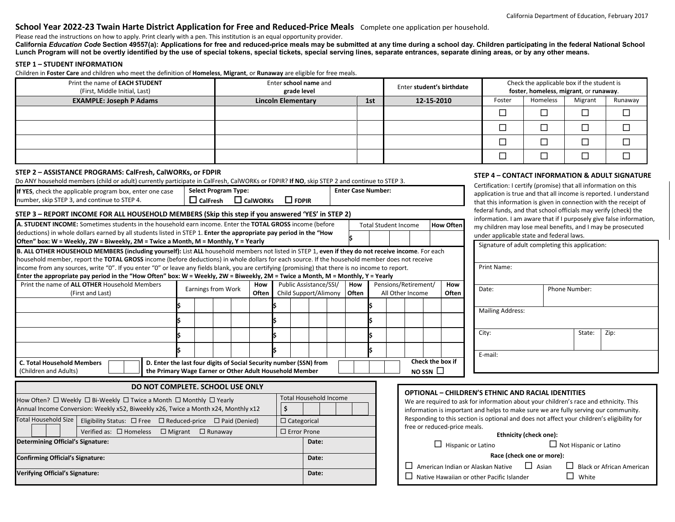# **School Year 2022-23 Twain Harte District Application for Free and Reduced-Price Meals** Complete one application per household.

Please read the instructions on how to apply. Print clearly with a pen. This institution is an equal opportunity provider.

California *Education Code* Section 49557(a): Applications for free and reduced-price meals may be submitted at any time during a school day. Children participating in the federal National School **Lunch Program will not be overtly identified by the use of special tokens, special tickets, special serving lines, separate entrances, separate dining areas, or by any other means.**

## **STEP 1 – STUDENT INFORMATION**

Children in **Foster Care** and children who meet the definition of **Homeless**, **Migrant**, or **Runaway** are eligible for free meals.

| Print the name of <b>EACH STUDENT</b><br>(First, Middle Initial, Last)                                                                                                                                                                                                               |                                                                                                                                                                                                                                                                                                   | Enter school name and<br>grade level                                                                                                              |              |       |                        |                               |                                                                 |                           | Enter student's birthdate                                                                                                                                        |                                                                                                                                                    |                 |                                                                                                                                       | Check the applicable box if the student is<br>foster, homeless, migrant, or runaway. |                         |          |               |                                                |  |
|--------------------------------------------------------------------------------------------------------------------------------------------------------------------------------------------------------------------------------------------------------------------------------------|---------------------------------------------------------------------------------------------------------------------------------------------------------------------------------------------------------------------------------------------------------------------------------------------------|---------------------------------------------------------------------------------------------------------------------------------------------------|--------------|-------|------------------------|-------------------------------|-----------------------------------------------------------------|---------------------------|------------------------------------------------------------------------------------------------------------------------------------------------------------------|----------------------------------------------------------------------------------------------------------------------------------------------------|-----------------|---------------------------------------------------------------------------------------------------------------------------------------|--------------------------------------------------------------------------------------|-------------------------|----------|---------------|------------------------------------------------|--|
| <b>EXAMPLE: Joseph P Adams</b>                                                                                                                                                                                                                                                       |                                                                                                                                                                                                                                                                                                   |                                                                                                                                                   |              |       |                        | <b>Lincoln Elementary</b>     |                                                                 |                           | 1st                                                                                                                                                              |                                                                                                                                                    |                 | 12-15-2010                                                                                                                            |                                                                                      | Foster                  | Homeless | Migrant       | Runaway                                        |  |
|                                                                                                                                                                                                                                                                                      |                                                                                                                                                                                                                                                                                                   |                                                                                                                                                   |              |       |                        |                               |                                                                 |                           |                                                                                                                                                                  |                                                                                                                                                    |                 |                                                                                                                                       |                                                                                      | $\Box$                  | $\Box$   | $\Box$        | $\Box$                                         |  |
|                                                                                                                                                                                                                                                                                      |                                                                                                                                                                                                                                                                                                   |                                                                                                                                                   |              |       |                        |                               |                                                                 |                           |                                                                                                                                                                  |                                                                                                                                                    |                 |                                                                                                                                       |                                                                                      | $\Box$                  | $\Box$   | $\Box$        | $\Box$                                         |  |
|                                                                                                                                                                                                                                                                                      |                                                                                                                                                                                                                                                                                                   |                                                                                                                                                   |              |       |                        |                               |                                                                 |                           |                                                                                                                                                                  |                                                                                                                                                    |                 |                                                                                                                                       |                                                                                      | $\Box$                  | $\Box$   | $\Box$        | $\Box$                                         |  |
|                                                                                                                                                                                                                                                                                      |                                                                                                                                                                                                                                                                                                   |                                                                                                                                                   |              |       |                        |                               |                                                                 |                           |                                                                                                                                                                  |                                                                                                                                                    |                 |                                                                                                                                       |                                                                                      | $\Box$                  | $\Box$   | $\Box$        | $\Box$                                         |  |
| STEP 2 - ASSISTANCE PROGRAMS: CalFresh, CalWORKs, or FDPIR                                                                                                                                                                                                                           |                                                                                                                                                                                                                                                                                                   |                                                                                                                                                   |              |       |                        |                               |                                                                 |                           |                                                                                                                                                                  |                                                                                                                                                    |                 |                                                                                                                                       |                                                                                      |                         |          |               | STEP 4 - CONTACT INFORMATION & ADULT SIGNATURE |  |
| Do ANY household members (child or adult) currently participate in CalFresh, CalWORKs or FDPIR? If NO, skip STEP 2 and continue to STEP 3.                                                                                                                                           |                                                                                                                                                                                                                                                                                                   |                                                                                                                                                   |              |       |                        |                               | Certification: I certify (promise) that all information on this |                           |                                                                                                                                                                  |                                                                                                                                                    |                 |                                                                                                                                       |                                                                                      |                         |          |               |                                                |  |
| If YES, check the applicable program box, enter one case<br>number, skip STEP 3, and continue to STEP 4.                                                                                                                                                                             | <b>Select Program Type:</b><br>$\Box$ FDPIR<br>$\Box$ CalFresh $\Box$ CalWORKs                                                                                                                                                                                                                    |                                                                                                                                                   |              |       |                        | <b>Enter Case Number:</b>     |                                                                 |                           |                                                                                                                                                                  |                                                                                                                                                    |                 | application is true and that all income is reported. I understand<br>that this information is given in connection with the receipt of |                                                                                      |                         |          |               |                                                |  |
| STEP 3 - REPORT INCOME FOR ALL HOUSEHOLD MEMBERS (Skip this step if you answered 'YES' in STEP 2)                                                                                                                                                                                    |                                                                                                                                                                                                                                                                                                   |                                                                                                                                                   |              |       |                        |                               |                                                                 |                           |                                                                                                                                                                  |                                                                                                                                                    |                 |                                                                                                                                       | federal funds, and that school officials may verify (check) the                      |                         |          |               |                                                |  |
|                                                                                                                                                                                                                                                                                      | information. I am aware that if I purposely give false information,<br>A. STUDENT INCOME: Sometimes students in the household earn income. Enter the TOTAL GROSS income (before<br><b>Total Student Income</b><br><b>How Often</b><br>my children may lose meal benefits, and I may be prosecuted |                                                                                                                                                   |              |       |                        |                               |                                                                 |                           |                                                                                                                                                                  |                                                                                                                                                    |                 |                                                                                                                                       |                                                                                      |                         |          |               |                                                |  |
| deductions) in whole dollars earned by all students listed in STEP 1. Enter the appropriate pay period in the "How                                                                                                                                                                   |                                                                                                                                                                                                                                                                                                   |                                                                                                                                                   |              |       |                        |                               |                                                                 |                           |                                                                                                                                                                  |                                                                                                                                                    |                 |                                                                                                                                       | under applicable state and federal laws.                                             |                         |          |               |                                                |  |
| Often" box: W = Weekly, 2W = Biweekly, 2M = Twice a Month, M = Monthly, Y = Yearly<br>B. ALL OTHER HOUSEHOLD MEMBERS (including yourself): List ALL household members not listed in STEP 1, even if they do not receive income. For each                                             |                                                                                                                                                                                                                                                                                                   |                                                                                                                                                   |              |       |                        |                               |                                                                 |                           | Signature of adult completing this application:                                                                                                                  |                                                                                                                                                    |                 |                                                                                                                                       |                                                                                      |                         |          |               |                                                |  |
| household member, report the TOTAL GROSS income (before deductions) in whole dollars for each source. If the household member does not receive                                                                                                                                       |                                                                                                                                                                                                                                                                                                   |                                                                                                                                                   |              |       |                        |                               |                                                                 |                           |                                                                                                                                                                  |                                                                                                                                                    |                 |                                                                                                                                       |                                                                                      |                         |          |               |                                                |  |
| income from any sources, write "0". If you enter "0" or leave any fields blank, you are certifying (promising) that there is no income to report.<br>Enter the appropriate pay period in the "How Often" box: W = Weekly, 2W = Biweekly, 2M = Twice a Month, M = Monthly, Y = Yearly |                                                                                                                                                                                                                                                                                                   |                                                                                                                                                   |              |       |                        |                               |                                                                 |                           | Print Name:                                                                                                                                                      |                                                                                                                                                    |                 |                                                                                                                                       |                                                                                      |                         |          |               |                                                |  |
| Print the name of ALL OTHER Household Members<br>How                                                                                                                                                                                                                                 |                                                                                                                                                                                                                                                                                                   |                                                                                                                                                   |              |       | Public Assistance/SSI/ |                               | How                                                             |                           |                                                                                                                                                                  | Pensions/Retirement/                                                                                                                               | How             |                                                                                                                                       |                                                                                      |                         |          |               |                                                |  |
| Earnings from Work<br>(First and Last)                                                                                                                                                                                                                                               |                                                                                                                                                                                                                                                                                                   |                                                                                                                                                   | <b>Often</b> |       |                        |                               | Child Support/Alimony<br>Often                                  |                           |                                                                                                                                                                  | All Other Income<br>Often                                                                                                                          |                 |                                                                                                                                       | Date:                                                                                |                         |          | Phone Number: |                                                |  |
|                                                                                                                                                                                                                                                                                      |                                                                                                                                                                                                                                                                                                   |                                                                                                                                                   |              |       |                        |                               |                                                                 |                           |                                                                                                                                                                  |                                                                                                                                                    |                 |                                                                                                                                       |                                                                                      | <b>Mailing Address:</b> |          |               |                                                |  |
|                                                                                                                                                                                                                                                                                      |                                                                                                                                                                                                                                                                                                   |                                                                                                                                                   |              |       |                        |                               |                                                                 |                           |                                                                                                                                                                  |                                                                                                                                                    |                 |                                                                                                                                       |                                                                                      |                         |          |               |                                                |  |
|                                                                                                                                                                                                                                                                                      |                                                                                                                                                                                                                                                                                                   |                                                                                                                                                   |              |       |                        |                               |                                                                 |                           |                                                                                                                                                                  |                                                                                                                                                    |                 |                                                                                                                                       | City:                                                                                |                         |          | State:        | Zip:                                           |  |
|                                                                                                                                                                                                                                                                                      |                                                                                                                                                                                                                                                                                                   |                                                                                                                                                   |              |       |                        |                               |                                                                 |                           |                                                                                                                                                                  |                                                                                                                                                    |                 |                                                                                                                                       | E-mail:                                                                              |                         |          |               |                                                |  |
| C. Total Household Members                                                                                                                                                                                                                                                           |                                                                                                                                                                                                                                                                                                   | Check the box if<br>D. Enter the last four digits of Social Security number (SSN) from<br>the Primary Wage Earner or Other Adult Household Member |              |       |                        |                               |                                                                 |                           |                                                                                                                                                                  |                                                                                                                                                    |                 |                                                                                                                                       |                                                                                      |                         |          |               |                                                |  |
| (Children and Adults)                                                                                                                                                                                                                                                                |                                                                                                                                                                                                                                                                                                   |                                                                                                                                                   |              |       |                        |                               |                                                                 |                           |                                                                                                                                                                  |                                                                                                                                                    | $NO$ SSN $\Box$ |                                                                                                                                       |                                                                                      |                         |          |               |                                                |  |
| DO NOT COMPLETE, SCHOOL USE ONLY                                                                                                                                                                                                                                                     |                                                                                                                                                                                                                                                                                                   |                                                                                                                                                   |              |       |                        |                               |                                                                 |                           |                                                                                                                                                                  |                                                                                                                                                    |                 |                                                                                                                                       |                                                                                      |                         |          |               |                                                |  |
| How Often? □ Weekly □ Bi-Weekly □ Twice a Month □ Monthly □ Yearly                                                                                                                                                                                                                   |                                                                                                                                                                                                                                                                                                   |                                                                                                                                                   |              |       |                        | <b>Total Household Income</b> |                                                                 |                           |                                                                                                                                                                  | <b>OPTIONAL - CHILDREN'S ETHNIC AND RACIAL IDENTITIES</b><br>We are required to ask for information about your children's race and ethnicity. This |                 |                                                                                                                                       |                                                                                      |                         |          |               |                                                |  |
| \$<br>Annual Income Conversion: Weekly x52, Biweekly x26, Twice a Month x24, Monthly x12                                                                                                                                                                                             |                                                                                                                                                                                                                                                                                                   |                                                                                                                                                   |              |       |                        |                               |                                                                 |                           |                                                                                                                                                                  | information is important and helps to make sure we are fully serving our community.                                                                |                 |                                                                                                                                       |                                                                                      |                         |          |               |                                                |  |
| Total Household Size<br>Eligibility Status: □ Free □ Reduced-price □ Paid (Denied)                                                                                                                                                                                                   |                                                                                                                                                                                                                                                                                                   |                                                                                                                                                   |              |       | $\Box$ Categorical     |                               |                                                                 |                           |                                                                                                                                                                  | Responding to this section is optional and does not affect your children's eligibility for<br>free or reduced-price meals.                         |                 |                                                                                                                                       |                                                                                      |                         |          |               |                                                |  |
| Verified as: □ Homeless □ Migrant □ Runaway                                                                                                                                                                                                                                          |                                                                                                                                                                                                                                                                                                   |                                                                                                                                                   |              |       | $\Box$ Error Prone     |                               |                                                                 |                           |                                                                                                                                                                  | Ethnicity (check one):                                                                                                                             |                 |                                                                                                                                       |                                                                                      |                         |          |               |                                                |  |
| <b>Determining Official's Signature:</b>                                                                                                                                                                                                                                             |                                                                                                                                                                                                                                                                                                   |                                                                                                                                                   |              |       | Date:                  |                               |                                                                 | $\Box$ Hispanic or Latino |                                                                                                                                                                  |                                                                                                                                                    |                 |                                                                                                                                       | $\Box$ Not Hispanic or Latino                                                        |                         |          |               |                                                |  |
| <b>Confirming Official's Signature:</b>                                                                                                                                                                                                                                              |                                                                                                                                                                                                                                                                                                   |                                                                                                                                                   |              | Date: |                        |                               |                                                                 |                           | Race (check one or more):                                                                                                                                        |                                                                                                                                                    |                 |                                                                                                                                       |                                                                                      |                         |          |               |                                                |  |
| Verifying Official's Signature:                                                                                                                                                                                                                                                      |                                                                                                                                                                                                                                                                                                   |                                                                                                                                                   |              | Date: |                        |                               |                                                                 |                           | $\Box$ Asian<br>$\Box$ American Indian or Alaskan Native<br>$\Box$ Black or African American<br>$\Box$ White<br>$\Box$ Native Hawaiian or other Pacific Islander |                                                                                                                                                    |                 |                                                                                                                                       |                                                                                      |                         |          |               |                                                |  |